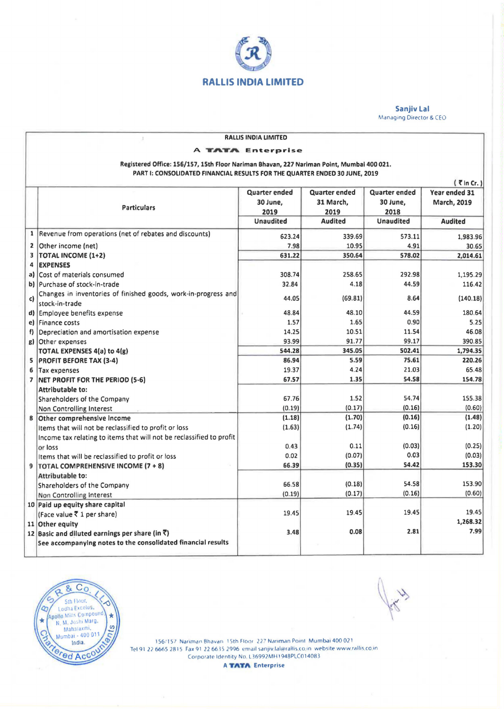

Sanjiv Lal Managing Director & CEO

| <b>RALLIS INDIA LIMITED</b><br>ś.                                                         |                                                                      |                  |                      |                  |                |
|-------------------------------------------------------------------------------------------|----------------------------------------------------------------------|------------------|----------------------|------------------|----------------|
| <b>TATA Enterprise</b><br>A                                                               |                                                                      |                  |                      |                  |                |
| Registered Office: 156/157, 15th Floor Nariman Bhavan, 227 Nariman Point, Mumbai 400 021. |                                                                      |                  |                      |                  |                |
| PART I: CONSOLIDATED FINANCIAL RESULTS FOR THE QUARTER ENDED 30 JUNE, 2019                |                                                                      |                  |                      |                  |                |
| $\sqrt{7}$ in Cr. )                                                                       |                                                                      |                  |                      |                  |                |
|                                                                                           |                                                                      | Quarter ended    | <b>Quarter ended</b> | Quarter ended    | Year ended 31  |
|                                                                                           |                                                                      | 30 June,         | 31 March,            | 30 June,         | March, 2019    |
|                                                                                           | <b>Particulars</b>                                                   | 2019             | 2019                 | 2018             |                |
|                                                                                           |                                                                      | <b>Unaudited</b> | <b>Audited</b>       | <b>Unaudited</b> | <b>Audited</b> |
| $\mathbf{1}$                                                                              | Revenue from operations (net of rebates and discounts)               | 623.24           | 339.69               | 573.11           | 1,983.96       |
| 2                                                                                         | Other income (net)                                                   | 7.98             | 10.95                | 4.91             | 30.65          |
| $\overline{\mathbf{3}}$                                                                   | TOTAL INCOME (1+2)                                                   | 631.22           | 350.64               | 578.02           | 2,014.61       |
| 4                                                                                         | <b>EXPENSES</b>                                                      |                  |                      |                  |                |
| a)                                                                                        | Cost of materials consumed                                           | 308.74           | 258.65               | 292.98           | 1,195.29       |
|                                                                                           | b) Purchase of stock-in-trade                                        | 32.84            | 4.18                 | 44.59            | 116.42         |
|                                                                                           | Changes in inventories of finished goods, work-in-progress and       |                  |                      |                  |                |
| c)                                                                                        | stock-in-trade                                                       | 44.05            | (69.81)              | 8.64             | (140.18)       |
| d)                                                                                        | Employee benefits expense                                            | 48.84            | 48.10                | 44.59            | 180.64         |
|                                                                                           | el Finance costs                                                     | 1.57             | 1.65                 | 0.90             | 5.25           |
| f)                                                                                        | Depreciation and amortisation expense                                | 14.25            | 10.51                | 11.54            | 46.08          |
| g)                                                                                        | Other expenses                                                       | 93.99            | 91.77                | 99.17            | 390.85         |
|                                                                                           | TOTAL EXPENSES 4(a) to 4(g)                                          | 544.28           | 345.05               | 502.41           | 1,794.35       |
| 5                                                                                         | <b>PROFIT BEFORE TAX (3-4)</b>                                       | 86.94            | 5.59                 | 75.61            | 220.26         |
| 6                                                                                         | Tax expenses                                                         | 19.37            | 4.24                 | 21.03            | 65.48          |
| $\overline{\phantom{a}}$                                                                  | NET PROFIT FOR THE PERIOD (5-6)                                      | 67.57            | 1.35                 | 54.58            | 154.78         |
|                                                                                           | <b>Attributable to:</b>                                              |                  |                      |                  |                |
|                                                                                           | Shareholders of the Company                                          | 67.76            | 1.52                 | 54.74            | 155.38         |
|                                                                                           | Non Controlling Interest                                             | (0.19)           | (0.17)               | (0.16)           | (0.60)         |
| 8                                                                                         | Other comprehensive income                                           | (1.18)           | (1.70)               | (0.16)           | (1.48)         |
|                                                                                           | Items that will not be reclassified to profit or loss                | (1.63)           | (1.74)               | (0.16)           | (1.20)         |
|                                                                                           | Income tax relating to items that will not be reclassified to profit |                  |                      |                  |                |
|                                                                                           | or loss                                                              | 0.43             | 0.11                 | (0.03)           | (0.25)         |
|                                                                                           | Items that will be reclassified to profit or loss                    | 0.02             | (0.07)               | 0.03             | (0.03)         |
| 9                                                                                         | TOTAL COMPREHENSIVE INCOME (7 + 8)                                   | 66.39            | (0.35)               | 54.42            | 153.30         |
|                                                                                           | <b>Attributable to:</b>                                              |                  |                      |                  |                |
|                                                                                           | Shareholders of the Company                                          | 66.58            | (0.18)               | 54.58            | 153.90         |
|                                                                                           | Non Controlling Interest                                             | (0.19)           | (0.17)               | (0.16)           | (0.60)         |
|                                                                                           | 10 Paid up equity share capital                                      |                  |                      |                  | 19.45          |
|                                                                                           | (Face value ₹ 1 per share)                                           | 19.45            | 19.45                | 19.45            | 1,268.32       |
|                                                                                           | 11 Other equity                                                      |                  | 0.08                 | 2.81             | 7.99           |
|                                                                                           | 12 Basic and diluted earnings per share (in ₹)                       | 3.48             |                      |                  |                |
|                                                                                           | See accompanying notes to the consolidated financial results         |                  |                      |                  |                |



156/157 Nariman Bhavan I 5th Floor 227 Nariman Point Mumbai 400 021 Tel 91 22 6665 2815 Fax 91 22 6635 2996 email sanjiv Ial@rallis.co.in website www.rallis.co.in Corporate Identity No. L36992MH1948PLC014083

**A TATA Enterprise**